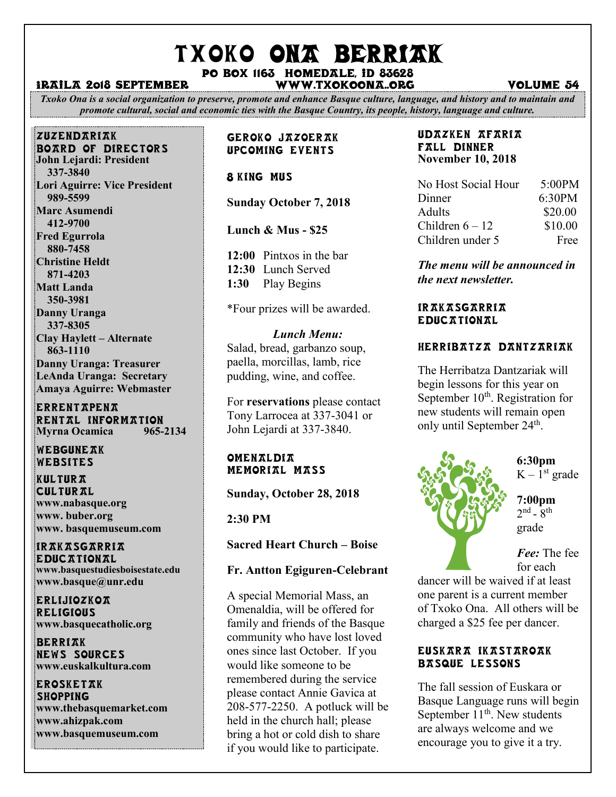# TXOKO ONA BERRIAK

#### Po box 1163 homedale, id 83628 Iraila 2018 september www.txokoona..org volume 54

*Txoko Ona is a social organization to preserve, promote and enhance Basque culture, language, and history and to maintain and promote cultural, social and economic ties with the Basque Country, its people, history, language and culture.*

#### zuzendariak

BOARD OF DIRECTORS **John Lejardi: President 337-3840 Lori Aguirre: Vice President 989-5599 Marc Asumendi 412-9700 Fred Egurrola 880-7458 Christine Heldt 871-4203 Matt Landa 350-3981 Danny Uranga 337-8305 Clay Haylett – Alternate 863-1110 Danny Uranga: Treasurer LeAnda Uranga: Secretary Amaya Aguirre: Webmaster**

#### **ERRENTAPENA** RENTAL INFORMATION<br>Myrna Ocamica 965-2134 **Myrna Ocamica**

WEBGUNEAK Websites

**KULTURA CULTURAL www.nabasque.org www. buber.org www. basquemuseum.com** 

irakasgarria EDUCATIONAL **www.basquestudiesboisestate.edu www.basque@unr.edu**

**ERLiJIOZKOA RELIGIOUS www.basquecatholic.org**

**BERRIAK** news sources **www.euskalkultura.com**

**EROSKETAK SHOPPING www.thebasquemarket.com www.ahizpak.com [www.basquemuseum.com](http://www.basquemuseum.com/)** 

#### Geroko Jazoerak Upcoming events

#### 8 king MUS

**Sunday October 7, 2018**

**Lunch & Mus - \$25**

**12:00** Pintxos in the bar **12:30** Lunch Served **1:30** Play Begins

\*Four prizes will be awarded.

#### *Lunch Menu:*

Salad, bread, garbanzo soup, paella, morcillas, lamb, rice pudding, wine, and coffee.

For **reservations** please contact Tony Larrocea at 337-3041 or John Lejardi at 337-3840.

#### **OMENALDIA** MEMORIAL MASS

**Sunday, October 28, 2018**

**2:30 PM**

**Sacred Heart Church – Boise**

#### **Fr. Antton Egiguren-Celebrant**

A special Memorial Mass, an Omenaldia, will be offered for family and friends of the Basque community who have lost loved ones since last October. If you would like someone to be remembered during the service please contact Annie Gavica at 208-577-2250. A potluck will be held in the church hall; please bring a hot or cold dish to share if you would like to participate.

#### Udazken Afaria Fall dinner **November 10, 2018**

| No Host Social Hour | 5:00PM  |
|---------------------|---------|
| Dinner              | 6:30PM  |
| <b>Adults</b>       | \$20.00 |
| Children $6-12$     | \$10.00 |
| Children under 5    | Free    |

*The menu will be announced in the next newsletter.*

#### Irakasgarria **EDUCATIONAL**

#### herribatza dantzariak

The Herribatza Dantzariak will begin lessons for this year on September 10<sup>th</sup>. Registration for new students will remain open only until September 24<sup>th</sup>.



## **6:30pm**  $K - 1<sup>st</sup>$  grade

**7:00pm**  $2<sup>nd</sup>$  -  $8<sup>th</sup>$ grade

*Fee:* The fee for each

dancer will be waived if at least one parent is a current member of Txoko Ona. All others will be charged a \$25 fee per dancer.

#### Euskara Ikastaroak BASQUE LESSONS

The fall session of Euskara or Basque Language runs will begin September  $11<sup>th</sup>$ . New students are always welcome and we encourage you to give it a try.